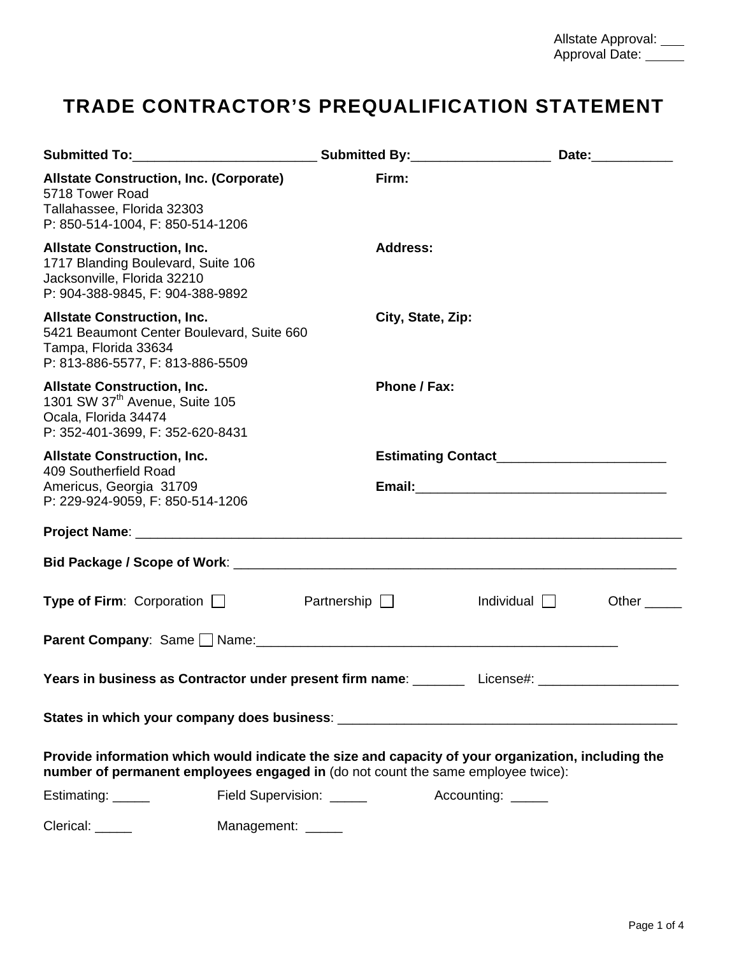## **TRADE CONTRACTOR'S PREQUALIFICATION STATEMENT**

| Submitted To:___________________________Submitted By:___________________________ Date:_____________                                                                                    |                          |                                               |              |
|----------------------------------------------------------------------------------------------------------------------------------------------------------------------------------------|--------------------------|-----------------------------------------------|--------------|
| <b>Allstate Construction, Inc. (Corporate)</b><br>5718 Tower Road<br>Tallahassee, Florida 32303<br>P: 850-514-1004, F: 850-514-1206                                                    | Firm:                    |                                               |              |
| <b>Allstate Construction, Inc.</b><br>1717 Blanding Boulevard, Suite 106<br>Jacksonville, Florida 32210<br>P: 904-388-9845, F: 904-388-9892                                            | <b>Address:</b>          |                                               |              |
| <b>Allstate Construction, Inc.</b><br>5421 Beaumont Center Boulevard, Suite 660<br>Tampa, Florida 33634<br>P: 813-886-5577, F: 813-886-5509                                            | City, State, Zip:        |                                               |              |
| <b>Allstate Construction, Inc.</b><br>1301 SW 37 <sup>th</sup> Avenue, Suite 105<br>Ocala, Florida 34474<br>P: 352-401-3699, F: 352-620-8431                                           | Phone / Fax:             |                                               |              |
| <b>Allstate Construction, Inc.</b>                                                                                                                                                     |                          | Estimating Contact___________________________ |              |
| 409 Southerfield Road<br>Americus, Georgia 31709<br>P: 229-924-9059, F: 850-514-1206                                                                                                   |                          |                                               |              |
|                                                                                                                                                                                        |                          |                                               |              |
|                                                                                                                                                                                        |                          |                                               |              |
| <b>Type of Firm:</b> Corporation $\Box$                                                                                                                                                | Partnership $\Box$       | Individual                                    | Other $\_\_$ |
|                                                                                                                                                                                        |                          |                                               |              |
| Years in business as Contractor under present firm name: _________ License#: ____                                                                                                      |                          |                                               |              |
|                                                                                                                                                                                        |                          |                                               |              |
| Provide information which would indicate the size and capacity of your organization, including the<br>number of permanent employees engaged in (do not count the same employee twice): |                          |                                               |              |
| Estimating: _____                                                                                                                                                                      | Field Supervision: _____ | Accounting: _____                             |              |
| Clerical: ______                                                                                                                                                                       | Management: ______       |                                               |              |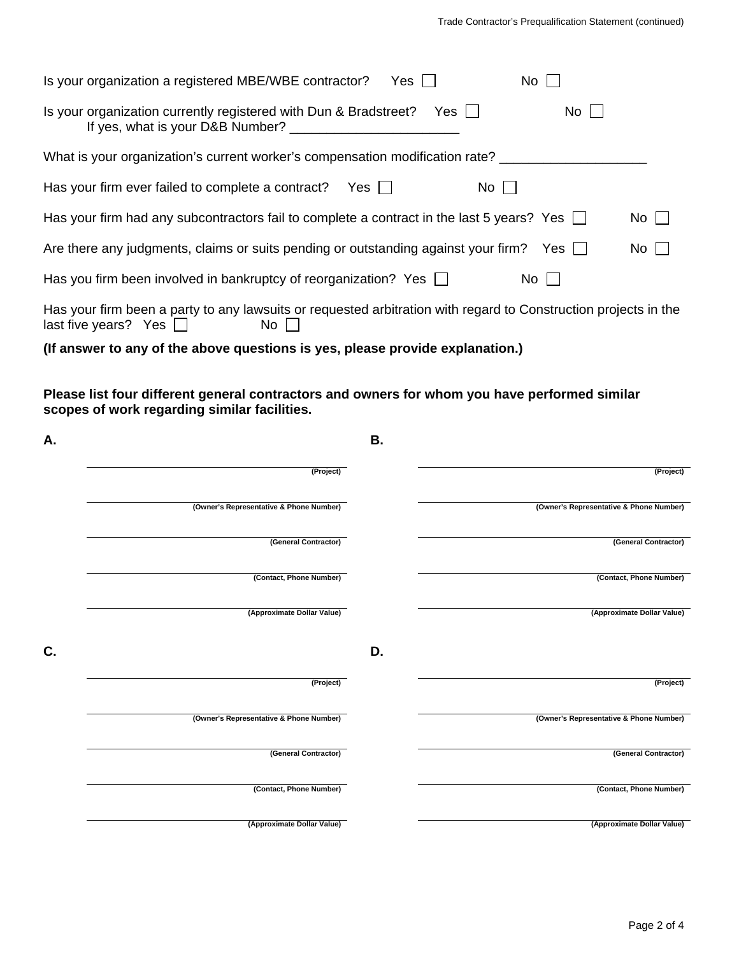| Is your organization a registered MBE/WBE contractor?<br><b>No</b><br>$Yes$ $\Box$                                                                    |             |
|-------------------------------------------------------------------------------------------------------------------------------------------------------|-------------|
| Is your organization currently registered with Dun & Bradstreet? Yes $\Box$<br>$No$ $ $ $ $<br>If yes, what is your D&B Number?                       |             |
| What is your organization's current worker's compensation modification rate?                                                                          |             |
| $No$    <br>Has your firm ever failed to complete a contract?<br>Yes                                                                                  |             |
| Has your firm had any subcontractors fail to complete a contract in the last 5 years? Yes $\Box$                                                      | $No$ $\Box$ |
| Are there any judgments, claims or suits pending or outstanding against your firm? Yes $\Box$                                                         | $No$        |
| Has you firm been involved in bankruptcy of reorganization? Yes $\Box$<br>No II                                                                       |             |
| Has your firm been a party to any lawsuits or requested arbitration with regard to Construction projects in the<br>last five years? Yes $\Box$<br>No. |             |
| (If answer to any of the above questions is yes, please provide explanation.)                                                                         |             |

**Please list four different general contractors and owners for whom you have performed similar scopes of work regarding similar facilities.** 

| А. |                                         | В. |                                         |
|----|-----------------------------------------|----|-----------------------------------------|
|    | (Project)                               |    | (Project)                               |
|    | (Owner's Representative & Phone Number) |    | (Owner's Representative & Phone Number) |
|    | (General Contractor)                    |    | (General Contractor)                    |
|    | (Contact, Phone Number)                 |    | (Contact, Phone Number)                 |
|    | (Approximate Dollar Value)              |    | (Approximate Dollar Value)              |
| C. |                                         | D. |                                         |
|    | (Project)                               |    | (Project)                               |
|    | (Owner's Representative & Phone Number) |    | (Owner's Representative & Phone Number) |
|    | (General Contractor)                    |    | (General Contractor)                    |
|    | (Contact, Phone Number)                 |    | (Contact, Phone Number)                 |
|    | (Approximate Dollar Value)              |    | (Approximate Dollar Value)              |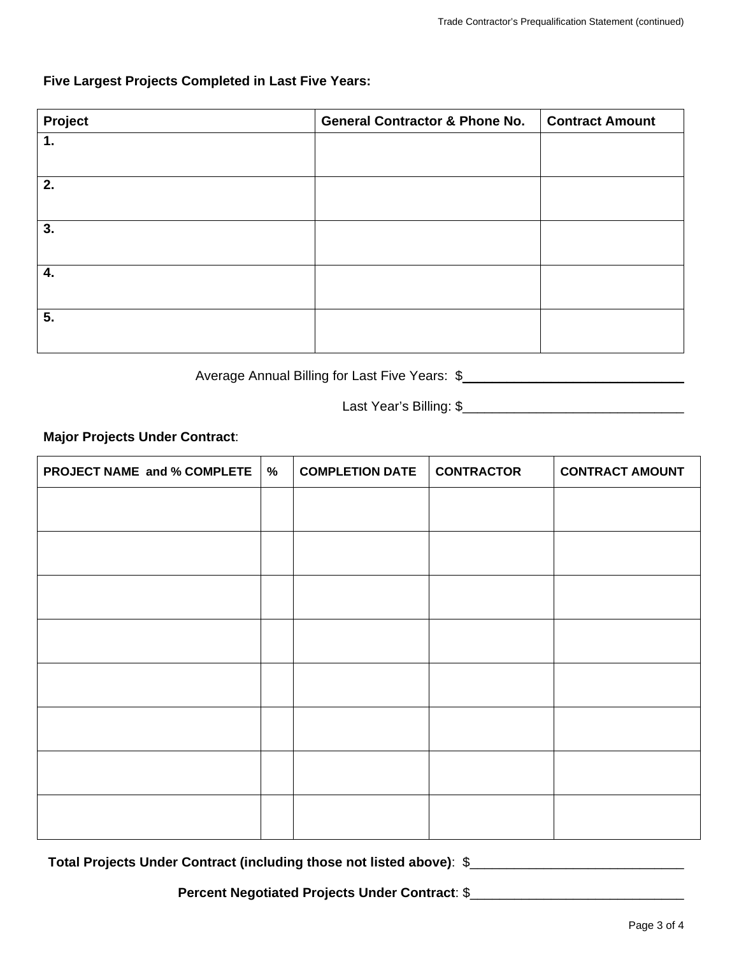## **Five Largest Projects Completed in Last Five Years:**

| Project | <b>General Contractor &amp; Phone No.</b> | <b>Contract Amount</b> |
|---------|-------------------------------------------|------------------------|
| 1.      |                                           |                        |
|         |                                           |                        |
| 2.      |                                           |                        |
|         |                                           |                        |
| 3.      |                                           |                        |
|         |                                           |                        |
| 4.      |                                           |                        |
|         |                                           |                        |
| 5.      |                                           |                        |
|         |                                           |                        |

Average Annual Billing for Last Five Years: \$\_\_\_\_\_\_\_\_\_\_\_\_\_\_\_\_\_\_\_\_\_\_\_\_\_\_\_\_\_\_\_\_\_\_\_

Last Year's Billing: \$\_\_\_\_\_\_\_\_\_\_\_\_\_\_\_\_\_\_\_\_\_\_\_\_\_\_\_\_\_\_

**Major Projects Under Contract**:

| PROJECT NAME and % COMPLETE | $\%$ | <b>COMPLETION DATE</b> | <b>CONTRACTOR</b> | <b>CONTRACT AMOUNT</b> |
|-----------------------------|------|------------------------|-------------------|------------------------|
|                             |      |                        |                   |                        |
|                             |      |                        |                   |                        |
|                             |      |                        |                   |                        |
|                             |      |                        |                   |                        |
|                             |      |                        |                   |                        |
|                             |      |                        |                   |                        |
|                             |      |                        |                   |                        |
|                             |      |                        |                   |                        |

**Total Projects Under Contract (including those not listed above)**:\$\_\_\_\_\_\_\_\_\_\_\_\_\_\_\_\_\_\_\_\_\_\_\_\_\_\_\_\_\_

Percent Negotiated Projects Under Contract: \$\_\_\_\_\_\_\_\_\_\_\_\_\_\_\_\_\_\_\_\_\_\_\_\_\_\_\_\_\_\_\_\_\_\_\_